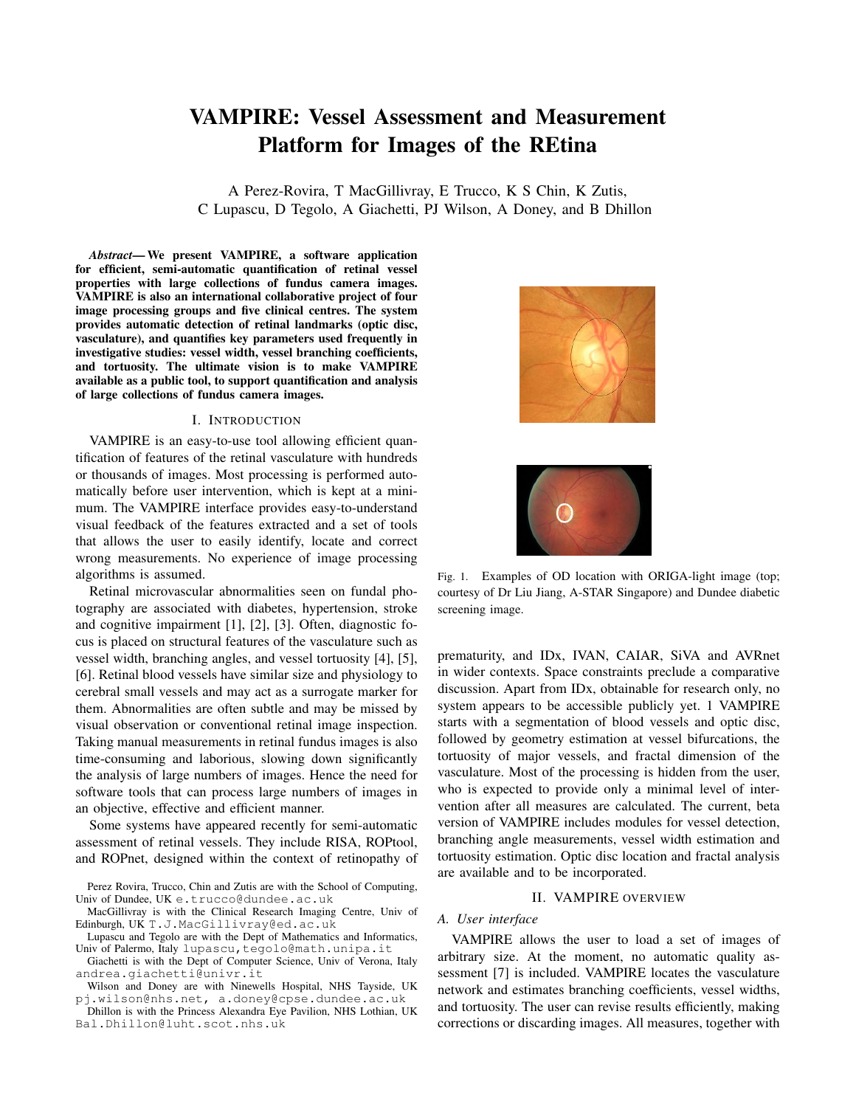# VAMPIRE: Vessel Assessment and Measurement Platform for Images of the REtina

A Perez-Rovira, T MacGillivray, E Trucco, K S Chin, K Zutis, C Lupascu, D Tegolo, A Giachetti, PJ Wilson, A Doney, and B Dhillon

*Abstract*— We present VAMPIRE, a software application for efficient, semi-automatic quantification of retinal vessel properties with large collections of fundus camera images. VAMPIRE is also an international collaborative project of four image processing groups and five clinical centres. The system provides automatic detection of retinal landmarks (optic disc, vasculature), and quantifies key parameters used frequently in investigative studies: vessel width, vessel branching coefficients, and tortuosity. The ultimate vision is to make VAMPIRE available as a public tool, to support quantification and analysis of large collections of fundus camera images.

#### I. INTRODUCTION

VAMPIRE is an easy-to-use tool allowing efficient quantification of features of the retinal vasculature with hundreds or thousands of images. Most processing is performed automatically before user intervention, which is kept at a minimum. The VAMPIRE interface provides easy-to-understand visual feedback of the features extracted and a set of tools that allows the user to easily identify, locate and correct wrong measurements. No experience of image processing algorithms is assumed.

Retinal microvascular abnormalities seen on fundal photography are associated with diabetes, hypertension, stroke and cognitive impairment [1], [2], [3]. Often, diagnostic focus is placed on structural features of the vasculature such as vessel width, branching angles, and vessel tortuosity [4], [5], [6]. Retinal blood vessels have similar size and physiology to cerebral small vessels and may act as a surrogate marker for them. Abnormalities are often subtle and may be missed by visual observation or conventional retinal image inspection. Taking manual measurements in retinal fundus images is also time-consuming and laborious, slowing down significantly the analysis of large numbers of images. Hence the need for software tools that can process large numbers of images in an objective, effective and efficient manner.

Some systems have appeared recently for semi-automatic assessment of retinal vessels. They include RISA, ROPtool, and ROPnet, designed within the context of retinopathy of

Perez Rovira, Trucco, Chin and Zutis are with the School of Computing, Univ of Dundee, UK e.trucco@dundee.ac.uk

MacGillivray is with the Clinical Research Imaging Centre, Univ of Edinburgh, UK T.J.MacGillivray@ed.ac.uk

Lupascu and Tegolo are with the Dept of Mathematics and Informatics, Univ of Palermo, Italy lupascu, tegolo@math.unipa.it

Giachetti is with the Dept of Computer Science, Univ of Verona, Italy andrea.giachetti@univr.it

Wilson and Doney are with Ninewells Hospital, NHS Tayside, UK pj.wilson@nhs.net, a.doney@cpse.dundee.ac.uk

Dhillon is with the Princess Alexandra Eye Pavilion, NHS Lothian, UK Bal.Dhillon@luht.scot.nhs.uk





Fig. 1. Examples of OD location with ORIGA-light image (top; courtesy of Dr Liu Jiang, A-STAR Singapore) and Dundee diabetic screening image.

prematurity, and IDx, IVAN, CAIAR, SiVA and AVRnet in wider contexts. Space constraints preclude a comparative discussion. Apart from IDx, obtainable for research only, no system appears to be accessible publicly yet. 1 VAMPIRE starts with a segmentation of blood vessels and optic disc, followed by geometry estimation at vessel bifurcations, the tortuosity of major vessels, and fractal dimension of the vasculature. Most of the processing is hidden from the user, who is expected to provide only a minimal level of intervention after all measures are calculated. The current, beta version of VAMPIRE includes modules for vessel detection, branching angle measurements, vessel width estimation and tortuosity estimation. Optic disc location and fractal analysis are available and to be incorporated.

## II. VAMPIRE OVERVIEW

# *A. User interface*

VAMPIRE allows the user to load a set of images of arbitrary size. At the moment, no automatic quality assessment [7] is included. VAMPIRE locates the vasculature network and estimates branching coefficients, vessel widths, and tortuosity. The user can revise results efficiently, making corrections or discarding images. All measures, together with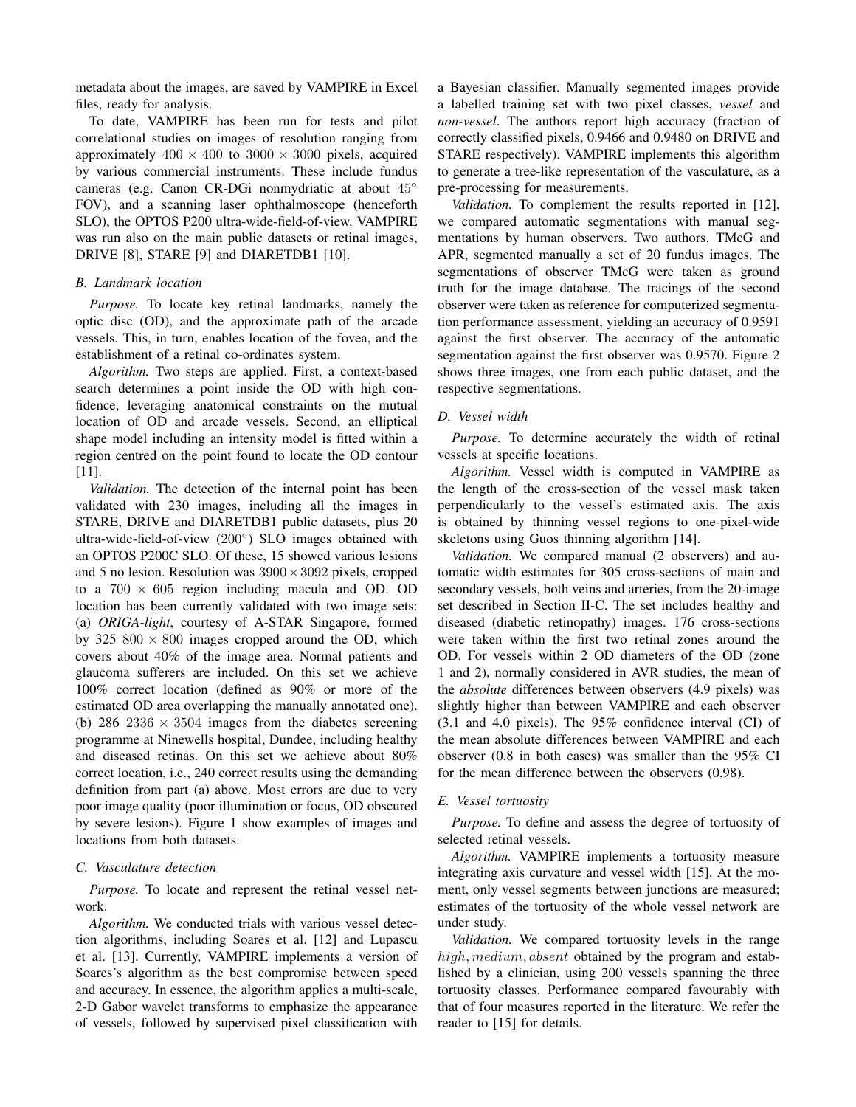metadata about the images, are saved by VAMPIRE in Excel files, ready for analysis.

To date, VAMPIRE has been run for tests and pilot correlational studies on images of resolution ranging from approximately  $400 \times 400$  to  $3000 \times 3000$  pixels, acquired by various commercial instruments. These include fundus cameras (e.g. Canon CR-DGi nonmydriatic at about 45◦ FOV), and a scanning laser ophthalmoscope (henceforth SLO), the OPTOS P200 ultra-wide-field-of-view. VAMPIRE was run also on the main public datasets or retinal images, DRIVE [8], STARE [9] and DIARETDB1 [10].

### *B. Landmark location*

*Purpose.* To locate key retinal landmarks, namely the optic disc (OD), and the approximate path of the arcade vessels. This, in turn, enables location of the fovea, and the establishment of a retinal co-ordinates system.

*Algorithm.* Two steps are applied. First, a context-based search determines a point inside the OD with high confidence, leveraging anatomical constraints on the mutual location of OD and arcade vessels. Second, an elliptical shape model including an intensity model is fitted within a region centred on the point found to locate the OD contour [11].

*Validation.* The detection of the internal point has been validated with 230 images, including all the images in STARE, DRIVE and DIARETDB1 public datasets, plus 20 ultra-wide-field-of-view (200°) SLO images obtained with an OPTOS P200C SLO. Of these, 15 showed various lesions and 5 no lesion. Resolution was  $3900 \times 3092$  pixels, cropped to a  $700 \times 605$  region including macula and OD. OD location has been currently validated with two image sets: (a) *ORIGA-light*, courtesy of A-STAR Singapore, formed by 325  $800 \times 800$  images cropped around the OD, which covers about 40% of the image area. Normal patients and glaucoma sufferers are included. On this set we achieve 100% correct location (defined as 90% or more of the estimated OD area overlapping the manually annotated one). (b) 286 2336  $\times$  3504 images from the diabetes screening programme at Ninewells hospital, Dundee, including healthy and diseased retinas. On this set we achieve about 80% correct location, i.e., 240 correct results using the demanding definition from part (a) above. Most errors are due to very poor image quality (poor illumination or focus, OD obscured by severe lesions). Figure 1 show examples of images and locations from both datasets.

## *C. Vasculature detection*

*Purpose.* To locate and represent the retinal vessel network.

*Algorithm.* We conducted trials with various vessel detection algorithms, including Soares et al. [12] and Lupascu et al. [13]. Currently, VAMPIRE implements a version of Soares's algorithm as the best compromise between speed and accuracy. In essence, the algorithm applies a multi-scale, 2-D Gabor wavelet transforms to emphasize the appearance of vessels, followed by supervised pixel classification with

a Bayesian classifier. Manually segmented images provide a labelled training set with two pixel classes, *vessel* and *non-vessel*. The authors report high accuracy (fraction of correctly classified pixels, 0.9466 and 0.9480 on DRIVE and STARE respectively). VAMPIRE implements this algorithm to generate a tree-like representation of the vasculature, as a pre-processing for measurements.

*Validation.* To complement the results reported in [12], we compared automatic segmentations with manual segmentations by human observers. Two authors, TMcG and APR, segmented manually a set of 20 fundus images. The segmentations of observer TMcG were taken as ground truth for the image database. The tracings of the second observer were taken as reference for computerized segmentation performance assessment, yielding an accuracy of 0.9591 against the first observer. The accuracy of the automatic segmentation against the first observer was 0.9570. Figure 2 shows three images, one from each public dataset, and the respective segmentations.

### *D. Vessel width*

*Purpose.* To determine accurately the width of retinal vessels at specific locations.

*Algorithm.* Vessel width is computed in VAMPIRE as the length of the cross-section of the vessel mask taken perpendicularly to the vessel's estimated axis. The axis is obtained by thinning vessel regions to one-pixel-wide skeletons using Guos thinning algorithm [14].

*Validation.* We compared manual (2 observers) and automatic width estimates for 305 cross-sections of main and secondary vessels, both veins and arteries, from the 20-image set described in Section II-C. The set includes healthy and diseased (diabetic retinopathy) images. 176 cross-sections were taken within the first two retinal zones around the OD. For vessels within 2 OD diameters of the OD (zone 1 and 2), normally considered in AVR studies, the mean of the *absolute* differences between observers (4.9 pixels) was slightly higher than between VAMPIRE and each observer (3.1 and 4.0 pixels). The 95% confidence interval (CI) of the mean absolute differences between VAMPIRE and each observer (0.8 in both cases) was smaller than the 95% CI for the mean difference between the observers (0.98).

## *E. Vessel tortuosity*

*Purpose.* To define and assess the degree of tortuosity of selected retinal vessels.

*Algorithm.* VAMPIRE implements a tortuosity measure integrating axis curvature and vessel width [15]. At the moment, only vessel segments between junctions are measured; estimates of the tortuosity of the whole vessel network are under study.

*Validation.* We compared tortuosity levels in the range high, medium, absent obtained by the program and established by a clinician, using 200 vessels spanning the three tortuosity classes. Performance compared favourably with that of four measures reported in the literature. We refer the reader to [15] for details.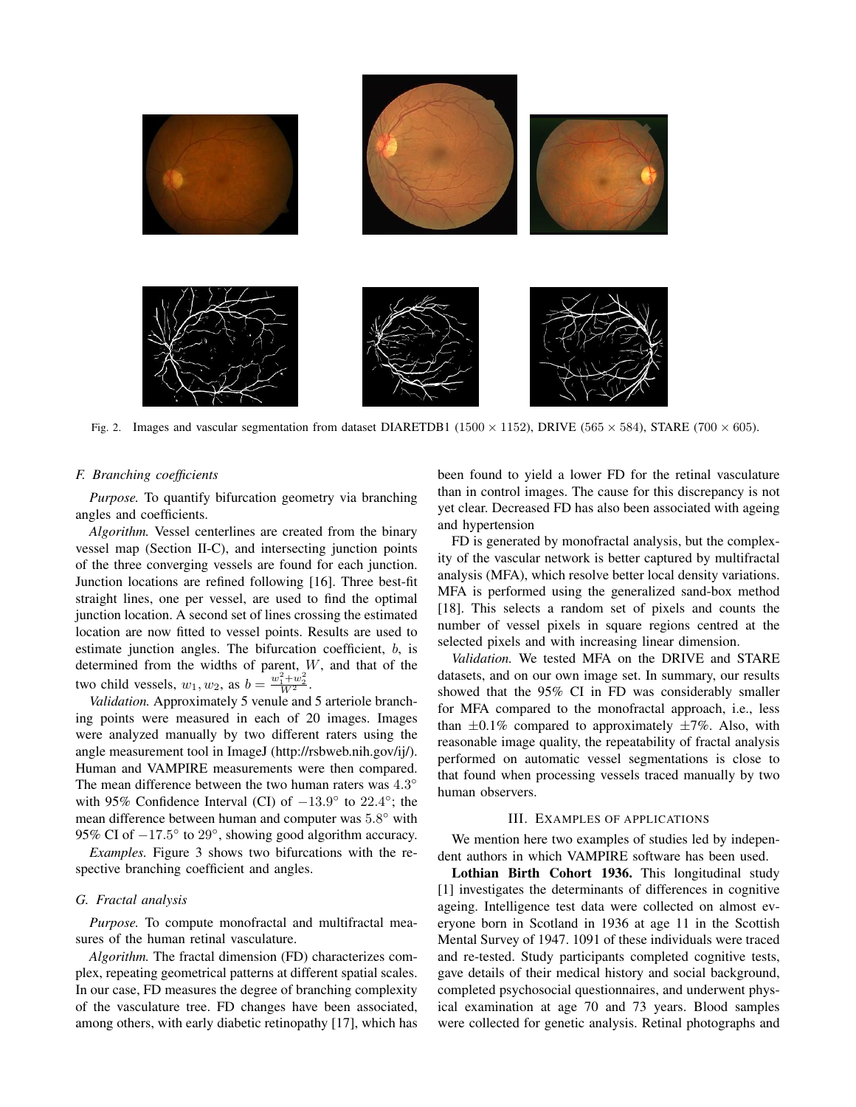

Fig. 2. Images and vascular segmentation from dataset DIARETDB1 (1500  $\times$  1152), DRIVE (565  $\times$  584), STARE (700  $\times$  605).

### *F. Branching coefficients*

*Purpose.* To quantify bifurcation geometry via branching angles and coefficients.

*Algorithm.* Vessel centerlines are created from the binary vessel map (Section II-C), and intersecting junction points of the three converging vessels are found for each junction. Junction locations are refined following [16]. Three best-fit straight lines, one per vessel, are used to find the optimal junction location. A second set of lines crossing the estimated location are now fitted to vessel points. Results are used to estimate junction angles. The bifurcation coefficient, b, is determined from the widths of parent, W, and that of the two child vessels,  $w_1, w_2$ , as  $b = \frac{w_1^2 + w_2^2}{W^2}$ .

*Validation.* Approximately 5 venule and 5 arteriole branching points were measured in each of 20 images. Images were analyzed manually by two different raters using the angle measurement tool in ImageJ (http://rsbweb.nih.gov/ij/). Human and VAMPIRE measurements were then compared. The mean difference between the two human raters was  $4.3^{\circ}$ with 95% Confidence Interval (CI) of  $-13.9^{\circ}$  to 22.4°; the mean difference between human and computer was  $5.8^{\circ}$  with 95% CI of  $-17.5^{\circ}$  to 29 $^{\circ}$ , showing good algorithm accuracy.

*Examples.* Figure 3 shows two bifurcations with the respective branching coefficient and angles.

## *G. Fractal analysis*

*Purpose.* To compute monofractal and multifractal measures of the human retinal vasculature.

*Algorithm.* The fractal dimension (FD) characterizes complex, repeating geometrical patterns at different spatial scales. In our case, FD measures the degree of branching complexity of the vasculature tree. FD changes have been associated, among others, with early diabetic retinopathy [17], which has been found to yield a lower FD for the retinal vasculature than in control images. The cause for this discrepancy is not yet clear. Decreased FD has also been associated with ageing and hypertension

FD is generated by monofractal analysis, but the complexity of the vascular network is better captured by multifractal analysis (MFA), which resolve better local density variations. MFA is performed using the generalized sand-box method [18]. This selects a random set of pixels and counts the number of vessel pixels in square regions centred at the selected pixels and with increasing linear dimension.

*Validation.* We tested MFA on the DRIVE and STARE datasets, and on our own image set. In summary, our results showed that the 95% CI in FD was considerably smaller for MFA compared to the monofractal approach, i.e., less than  $\pm 0.1\%$  compared to approximately  $\pm 7\%$ . Also, with reasonable image quality, the repeatability of fractal analysis performed on automatic vessel segmentations is close to that found when processing vessels traced manually by two human observers.

#### III. EXAMPLES OF APPLICATIONS

We mention here two examples of studies led by independent authors in which VAMPIRE software has been used.

Lothian Birth Cohort 1936. This longitudinal study [1] investigates the determinants of differences in cognitive ageing. Intelligence test data were collected on almost everyone born in Scotland in 1936 at age 11 in the Scottish Mental Survey of 1947. 1091 of these individuals were traced and re-tested. Study participants completed cognitive tests, gave details of their medical history and social background, completed psychosocial questionnaires, and underwent physical examination at age 70 and 73 years. Blood samples were collected for genetic analysis. Retinal photographs and